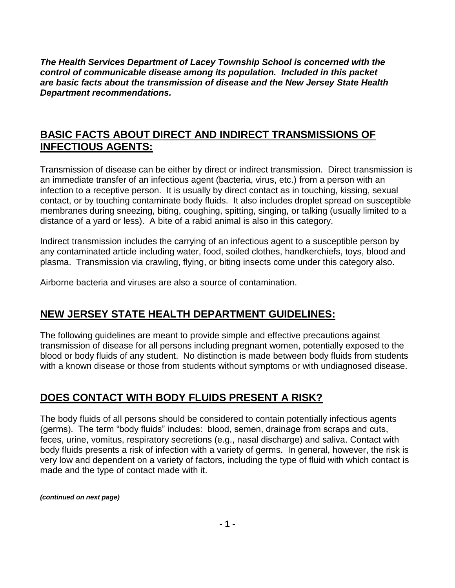*The Health Services Department of Lacey Township School is concerned with the control of communicable disease among its population. Included in this packet are basic facts about the transmission of disease and the New Jersey State Health Department recommendations.*

#### **BASIC FACTS ABOUT DIRECT AND INDIRECT TRANSMISSIONS OF INFECTIOUS AGENTS:**

Transmission of disease can be either by direct or indirect transmission. Direct transmission is an immediate transfer of an infectious agent (bacteria, virus, etc.) from a person with an infection to a receptive person. It is usually by direct contact as in touching, kissing, sexual contact, or by touching contaminate body fluids. It also includes droplet spread on susceptible membranes during sneezing, biting, coughing, spitting, singing, or talking (usually limited to a distance of a yard or less). A bite of a rabid animal is also in this category.

Indirect transmission includes the carrying of an infectious agent to a susceptible person by any contaminated article including water, food, soiled clothes, handkerchiefs, toys, blood and plasma. Transmission via crawling, flying, or biting insects come under this category also.

Airborne bacteria and viruses are also a source of contamination.

## **NEW JERSEY STATE HEALTH DEPARTMENT GUIDELINES:**

The following guidelines are meant to provide simple and effective precautions against transmission of disease for all persons including pregnant women, potentially exposed to the blood or body fluids of any student. No distinction is made between body fluids from students with a known disease or those from students without symptoms or with undiagnosed disease.

## **DOES CONTACT WITH BODY FLUIDS PRESENT A RISK?**

The body fluids of all persons should be considered to contain potentially infectious agents (germs). The term "body fluids" includes: blood, semen, drainage from scraps and cuts, feces, urine, vomitus, respiratory secretions (e.g., nasal discharge) and saliva. Contact with body fluids presents a risk of infection with a variety of germs. In general, however, the risk is very low and dependent on a variety of factors, including the type of fluid with which contact is made and the type of contact made with it.

*(continued on next page)*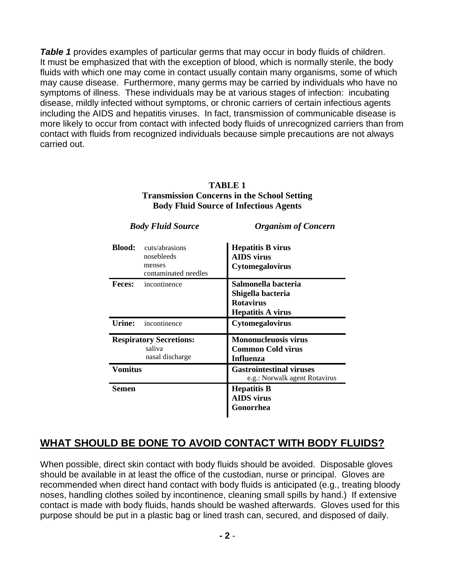*Table 1* provides examples of particular germs that may occur in body fluids of children. It must be emphasized that with the exception of blood, which is normally sterile, the body fluids with which one may come in contact usually contain many organisms, some of which may cause disease. Furthermore, many germs may be carried by individuals who have no symptoms of illness. These individuals may be at various stages of infection: incubating disease, mildly infected without symptoms, or chronic carriers of certain infectious agents including the AIDS and hepatitis viruses. In fact, transmission of communicable disease is more likely to occur from contact with infected body fluids of unrecognized carriers than from contact with fluids from recognized individuals because simple precautions are not always carried out.

| <b>Body Fluid Source</b>                                    |                                                                | <b>Organism of Concern</b>                                                               |
|-------------------------------------------------------------|----------------------------------------------------------------|------------------------------------------------------------------------------------------|
| <b>Blood:</b>                                               | cuts/abrasions<br>nosebleeds<br>menses<br>contaminated needles | <b>Hepatitis B virus</b><br><b>AIDS</b> virus<br>Cytomegalovirus                         |
| <b>Feces:</b>                                               | incontinence                                                   | Salmonella bacteria<br>Shigella bacteria<br><b>Rotavirus</b><br><b>Hepatitis A virus</b> |
| Urine:                                                      | incontinence                                                   | Cytomegalovirus                                                                          |
| <b>Respiratory Secretions:</b><br>saliva<br>nasal discharge |                                                                | <b>Mononucleuosis virus</b><br><b>Common Cold virus</b><br><b>Influenza</b>              |
| <b>Vomitus</b>                                              |                                                                | <b>Gastrointestinal viruses</b><br>e.g.: Norwalk agent Rotavirus                         |
| Semen                                                       |                                                                | <b>Hepatitis B</b><br><b>AIDS</b> virus<br>Gonorrhea                                     |

#### **TABLE 1 Transmission Concerns in the School Setting Body Fluid Source of Infectious Agents**

# **WHAT SHOULD BE DONE TO AVOID CONTACT WITH BODY FLUIDS?**

When possible, direct skin contact with body fluids should be avoided. Disposable gloves should be available in at least the office of the custodian, nurse or principal. Gloves are recommended when direct hand contact with body fluids is anticipated (e.g., treating bloody noses, handling clothes soiled by incontinence, cleaning small spills by hand.) If extensive contact is made with body fluids, hands should be washed afterwards. Gloves used for this purpose should be put in a plastic bag or lined trash can, secured, and disposed of daily.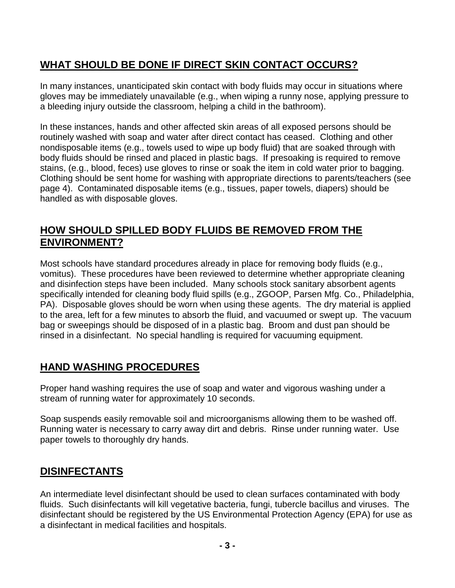# **WHAT SHOULD BE DONE IF DIRECT SKIN CONTACT OCCURS?**

In many instances, unanticipated skin contact with body fluids may occur in situations where gloves may be immediately unavailable (e.g., when wiping a runny nose, applying pressure to a bleeding injury outside the classroom, helping a child in the bathroom).

In these instances, hands and other affected skin areas of all exposed persons should be routinely washed with soap and water after direct contact has ceased. Clothing and other nondisposable items (e.g., towels used to wipe up body fluid) that are soaked through with body fluids should be rinsed and placed in plastic bags. If presoaking is required to remove stains, (e.g., blood, feces) use gloves to rinse or soak the item in cold water prior to bagging. Clothing should be sent home for washing with appropriate directions to parents/teachers (see page 4). Contaminated disposable items (e.g., tissues, paper towels, diapers) should be handled as with disposable gloves.

## **HOW SHOULD SPILLED BODY FLUIDS BE REMOVED FROM THE ENVIRONMENT?**

Most schools have standard procedures already in place for removing body fluids (e.g., vomitus). These procedures have been reviewed to determine whether appropriate cleaning and disinfection steps have been included. Many schools stock sanitary absorbent agents specifically intended for cleaning body fluid spills (e.g., ZGOOP, Parsen Mfg. Co., Philadelphia, PA). Disposable gloves should be worn when using these agents. The dry material is applied to the area, left for a few minutes to absorb the fluid, and vacuumed or swept up. The vacuum bag or sweepings should be disposed of in a plastic bag. Broom and dust pan should be rinsed in a disinfectant. No special handling is required for vacuuming equipment.

## **HAND WASHING PROCEDURES**

Proper hand washing requires the use of soap and water and vigorous washing under a stream of running water for approximately 10 seconds.

Soap suspends easily removable soil and microorganisms allowing them to be washed off. Running water is necessary to carry away dirt and debris. Rinse under running water. Use paper towels to thoroughly dry hands.

## **DISINFECTANTS**

An intermediate level disinfectant should be used to clean surfaces contaminated with body fluids. Such disinfectants will kill vegetative bacteria, fungi, tubercle bacillus and viruses. The disinfectant should be registered by the US Environmental Protection Agency (EPA) for use as a disinfectant in medical facilities and hospitals.